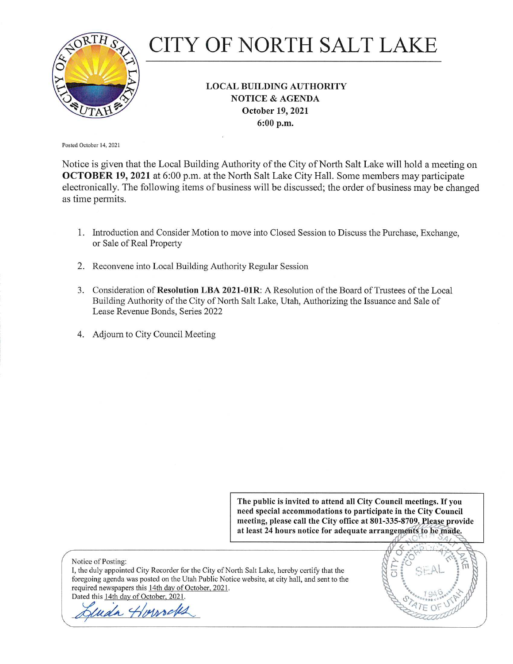

# CITY OF NORTH SALT LAKE

#### **LOCAL BUILDING AUTHORITY NOTICE & AGENDA** October 19, 2021 6:00 p.m.

Posted October 14, 2021

Notice is given that the Local Building Authority of the City of North Salt Lake will hold a meeting on **OCTOBER 19, 2021** at 6:00 p.m. at the North Salt Lake City Hall. Some members may participate electronically. The following items of business will be discussed; the order of business may be changed as time permits.

- 1. Introduction and Consider Motion to move into Closed Session to Discuss the Purchase, Exchange, or Sale of Real Property
- 2. Reconvene into Local Building Authority Regular Session
- 3. Consideration of Resolution LBA 2021-01R: A Resolution of the Board of Trustees of the Local Building Authority of the City of North Salt Lake, Utah, Authorizing the Issuance and Sale of Lease Revenue Bonds, Series 2022
- 4. Adjourn to City Council Meeting

The public is invited to attend all City Council meetings. If you need special accommodations to participate in the City Council meeting, please call the City office at 801-335-8709. Please provide at least 24 hours notice for adequate arrangements to be made.

Notice of Posting: I, the duly appointed City Recorder for the City of North Salt Lake, hereby certify that the foregoing agenda was posted on the Utah Public Notice website, at city hall, and sent to the required newspapers this 14th day of October, 2021. Dated this 14th day of October, 2021.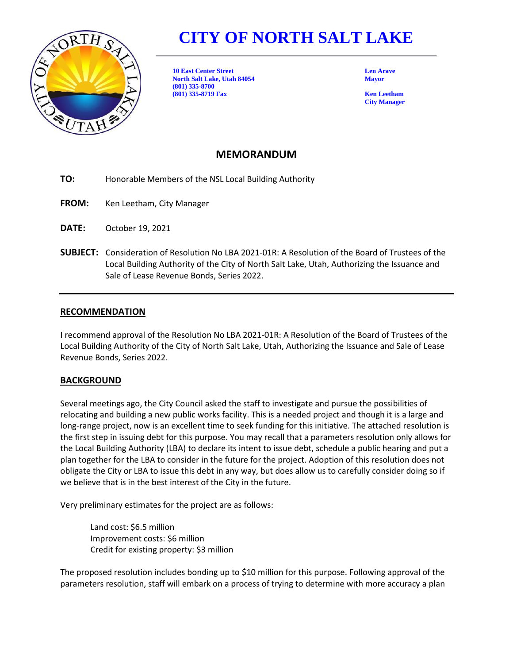

## **CITY OF NORTH SALT LAKE**

**10 East Center Street Len Arave North Salt Lake, Utah 84054 Mayor (801) 335-8700 (801) 335-8719 Fax Ken Leetham**

**City Manager**

#### **MEMORANDUM**

**TO:** Honorable Members of the NSL Local Building Authority

- **FROM:** Ken Leetham, City Manager
- **DATE:** October 19, 2021
- **SUBJECT:** Consideration of Resolution No LBA 2021-01R: A Resolution of the Board of Trustees of the Local Building Authority of the City of North Salt Lake, Utah, Authorizing the Issuance and Sale of Lease Revenue Bonds, Series 2022.

#### **RECOMMENDATION**

I recommend approval of the Resolution No LBA 2021-01R: A Resolution of the Board of Trustees of the Local Building Authority of the City of North Salt Lake, Utah, Authorizing the Issuance and Sale of Lease Revenue Bonds, Series 2022.

#### **BACKGROUND**

Several meetings ago, the City Council asked the staff to investigate and pursue the possibilities of relocating and building a new public works facility. This is a needed project and though it is a large and long-range project, now is an excellent time to seek funding for this initiative. The attached resolution is the first step in issuing debt for this purpose. You may recall that a parameters resolution only allows for the Local Building Authority (LBA) to declare its intent to issue debt, schedule a public hearing and put a plan together for the LBA to consider in the future for the project. Adoption of this resolution does not obligate the City or LBA to issue this debt in any way, but does allow us to carefully consider doing so if we believe that is in the best interest of the City in the future.

Very preliminary estimates for the project are as follows:

Land cost: \$6.5 million Improvement costs: \$6 million Credit for existing property: \$3 million

The proposed resolution includes bonding up to \$10 million for this purpose. Following approval of the parameters resolution, staff will embark on a process of trying to determine with more accuracy a plan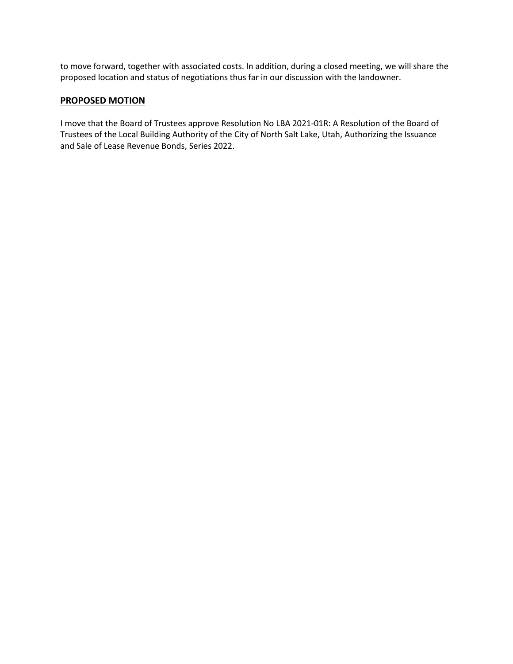to move forward, together with associated costs. In addition, during a closed meeting, we will share the proposed location and status of negotiations thus far in our discussion with the landowner.

#### **PROPOSED MOTION**

I move that the Board of Trustees approve Resolution No LBA 2021-01R: A Resolution of the Board of Trustees of the Local Building Authority of the City of North Salt Lake, Utah, Authorizing the Issuance and Sale of Lease Revenue Bonds, Series 2022.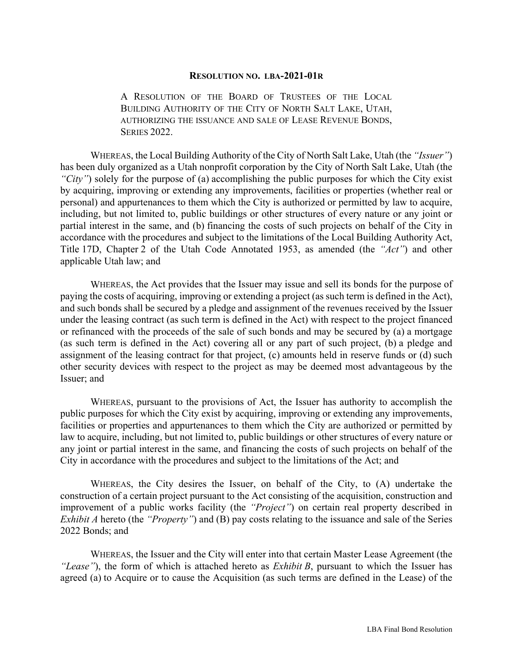#### **RESOLUTION NO. LBA-2021-01R**

A RESOLUTION OF THE BOARD OF TRUSTEES OF THE LOCAL BUILDING AUTHORITY OF THE CITY OF NORTH SALT LAKE, UTAH, AUTHORIZING THE ISSUANCE AND SALE OF LEASE REVENUE BONDS, **SERIES 2022.** 

WHEREAS, the Local Building Authority of the City of North Salt Lake, Utah (the *"Issuer"*) has been duly organized as a Utah nonprofit corporation by the City of North Salt Lake, Utah (the *"City"*) solely for the purpose of (a) accomplishing the public purposes for which the City exist by acquiring, improving or extending any improvements, facilities or properties (whether real or personal) and appurtenances to them which the City is authorized or permitted by law to acquire, including, but not limited to, public buildings or other structures of every nature or any joint or partial interest in the same, and (b) financing the costs of such projects on behalf of the City in accordance with the procedures and subject to the limitations of the Local Building Authority Act, Title 17D, Chapter 2 of the Utah Code Annotated 1953, as amended (the *"Act"*) and other applicable Utah law; and

WHEREAS, the Act provides that the Issuer may issue and sell its bonds for the purpose of paying the costs of acquiring, improving or extending a project (as such term is defined in the Act), and such bonds shall be secured by a pledge and assignment of the revenues received by the Issuer under the leasing contract (as such term is defined in the Act) with respect to the project financed or refinanced with the proceeds of the sale of such bonds and may be secured by (a) a mortgage (as such term is defined in the Act) covering all or any part of such project, (b) a pledge and assignment of the leasing contract for that project, (c) amounts held in reserve funds or (d) such other security devices with respect to the project as may be deemed most advantageous by the Issuer; and

WHEREAS, pursuant to the provisions of Act, the Issuer has authority to accomplish the public purposes for which the City exist by acquiring, improving or extending any improvements, facilities or properties and appurtenances to them which the City are authorized or permitted by law to acquire, including, but not limited to, public buildings or other structures of every nature or any joint or partial interest in the same, and financing the costs of such projects on behalf of the City in accordance with the procedures and subject to the limitations of the Act; and

WHEREAS, the City desires the Issuer, on behalf of the City, to (A) undertake the construction of a certain project pursuant to the Act consisting of the acquisition, construction and improvement of a public works facility (the *"Project"*) on certain real property described in *Exhibit A* hereto (the *"Property"*) and (B) pay costs relating to the issuance and sale of the Series 2022 Bonds; and

WHEREAS, the Issuer and the City will enter into that certain Master Lease Agreement (the *"Lease"*), the form of which is attached hereto as *Exhibit B*, pursuant to which the Issuer has agreed (a) to Acquire or to cause the Acquisition (as such terms are defined in the Lease) of the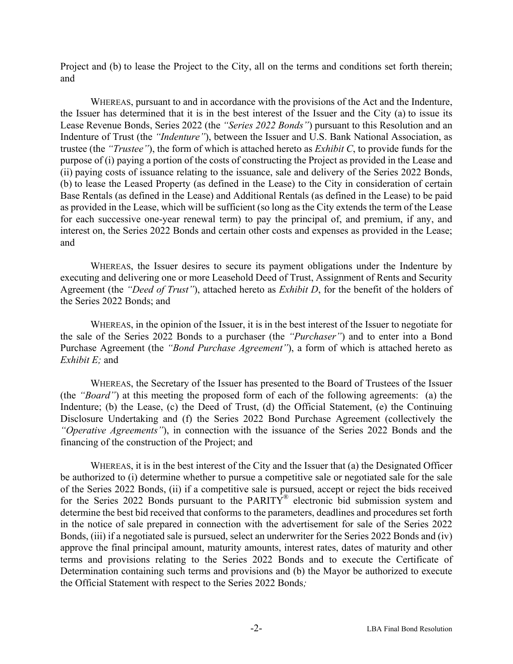Project and (b) to lease the Project to the City, all on the terms and conditions set forth therein; and

WHEREAS, pursuant to and in accordance with the provisions of the Act and the Indenture, the Issuer has determined that it is in the best interest of the Issuer and the City (a) to issue its Lease Revenue Bonds, Series 2022 (the *"Series 2022 Bonds"*) pursuant to this Resolution and an Indenture of Trust (the *"Indenture"*), between the Issuer and U.S. Bank National Association, as trustee (the *"Trustee"*), the form of which is attached hereto as *Exhibit C*, to provide funds for the purpose of (i) paying a portion of the costs of constructing the Project as provided in the Lease and (ii) paying costs of issuance relating to the issuance, sale and delivery of the Series 2022 Bonds, (b) to lease the Leased Property (as defined in the Lease) to the City in consideration of certain Base Rentals (as defined in the Lease) and Additional Rentals (as defined in the Lease) to be paid as provided in the Lease, which will be sufficient (so long as the City extends the term of the Lease for each successive one-year renewal term) to pay the principal of, and premium, if any, and interest on, the Series 2022 Bonds and certain other costs and expenses as provided in the Lease; and

WHEREAS, the Issuer desires to secure its payment obligations under the Indenture by executing and delivering one or more Leasehold Deed of Trust, Assignment of Rents and Security Agreement (the *"Deed of Trust"*), attached hereto as *Exhibit D*, for the benefit of the holders of the Series 2022 Bonds; and

WHEREAS, in the opinion of the Issuer, it is in the best interest of the Issuer to negotiate for the sale of the Series 2022 Bonds to a purchaser (the *"Purchaser"*) and to enter into a Bond Purchase Agreement (the *"Bond Purchase Agreement"*), a form of which is attached hereto as *Exhibit E;* and

WHEREAS, the Secretary of the Issuer has presented to the Board of Trustees of the Issuer (the *"Board"*) at this meeting the proposed form of each of the following agreements: (a) the Indenture; (b) the Lease, (c) the Deed of Trust, (d) the Official Statement, (e) the Continuing Disclosure Undertaking and (f) the Series 2022 Bond Purchase Agreement (collectively the *"Operative Agreements"*), in connection with the issuance of the Series 2022 Bonds and the financing of the construction of the Project; and

WHEREAS, it is in the best interest of the City and the Issuer that (a) the Designated Officer be authorized to (i) determine whether to pursue a competitive sale or negotiated sale for the sale of the Series 2022 Bonds, (ii) if a competitive sale is pursued, accept or reject the bids received for the Series 2022 Bonds pursuant to the PARITY® electronic bid submission system and determine the best bid received that conforms to the parameters, deadlines and procedures set forth in the notice of sale prepared in connection with the advertisement for sale of the Series 2022 Bonds, (iii) if a negotiated sale is pursued, select an underwriter for the Series 2022 Bonds and (iv) approve the final principal amount, maturity amounts, interest rates, dates of maturity and other terms and provisions relating to the Series 2022 Bonds and to execute the Certificate of Determination containing such terms and provisions and (b) the Mayor be authorized to execute the Official Statement with respect to the Series 2022 Bonds*;*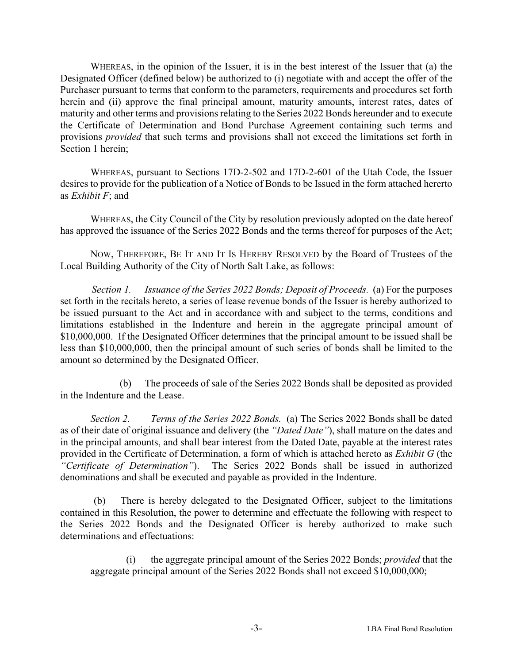WHEREAS, in the opinion of the Issuer, it is in the best interest of the Issuer that (a) the Designated Officer (defined below) be authorized to (i) negotiate with and accept the offer of the Purchaser pursuant to terms that conform to the parameters, requirements and procedures set forth herein and (ii) approve the final principal amount, maturity amounts, interest rates, dates of maturity and other terms and provisions relating to the Series 2022 Bonds hereunder and to execute the Certificate of Determination and Bond Purchase Agreement containing such terms and provisions *provided* that such terms and provisions shall not exceed the limitations set forth in Section 1 herein;

WHEREAS, pursuant to Sections 17D-2-502 and 17D-2-601 of the Utah Code, the Issuer desires to provide for the publication of a Notice of Bonds to be Issued in the form attached hererto as *Exhibit F*; and

WHEREAS, the City Council of the City by resolution previously adopted on the date hereof has approved the issuance of the Series 2022 Bonds and the terms thereof for purposes of the Act;

NOW, THEREFORE, BE IT AND IT IS HEREBY RESOLVED by the Board of Trustees of the Local Building Authority of the City of North Salt Lake, as follows:

*Section 1. Issuance of the Series 2022 Bonds; Deposit of Proceeds.* (a) For the purposes set forth in the recitals hereto, a series of lease revenue bonds of the Issuer is hereby authorized to be issued pursuant to the Act and in accordance with and subject to the terms, conditions and limitations established in the Indenture and herein in the aggregate principal amount of \$10,000,000. If the Designated Officer determines that the principal amount to be issued shall be less than \$10,000,000, then the principal amount of such series of bonds shall be limited to the amount so determined by the Designated Officer.

 (b) The proceeds of sale of the Series 2022 Bonds shall be deposited as provided in the Indenture and the Lease.

*Section 2. Terms of the Series 2022 Bonds.* (a) The Series 2022 Bonds shall be dated as of their date of original issuance and delivery (the *"Dated Date"*), shall mature on the dates and in the principal amounts, and shall bear interest from the Dated Date, payable at the interest rates provided in the Certificate of Determination, a form of which is attached hereto as *Exhibit G* (the *"Certificate of Determination"*). The Series 2022 Bonds shall be issued in authorized denominations and shall be executed and payable as provided in the Indenture.

 (b) There is hereby delegated to the Designated Officer, subject to the limitations contained in this Resolution, the power to determine and effectuate the following with respect to the Series 2022 Bonds and the Designated Officer is hereby authorized to make such determinations and effectuations:

 (i) the aggregate principal amount of the Series 2022 Bonds; *provided* that the aggregate principal amount of the Series 2022 Bonds shall not exceed \$10,000,000;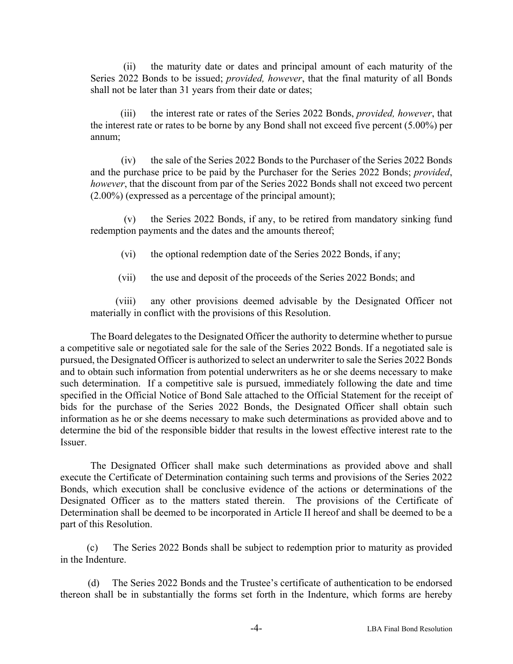(ii) the maturity date or dates and principal amount of each maturity of the Series 2022 Bonds to be issued; *provided, however*, that the final maturity of all Bonds shall not be later than 31 years from their date or dates;

 (iii) the interest rate or rates of the Series 2022 Bonds, *provided, however*, that the interest rate or rates to be borne by any Bond shall not exceed five percent (5.00%) per annum;

 (iv) the sale of the Series 2022 Bonds to the Purchaser of the Series 2022 Bonds and the purchase price to be paid by the Purchaser for the Series 2022 Bonds; *provided*, *however*, that the discount from par of the Series 2022 Bonds shall not exceed two percent (2.00%) (expressed as a percentage of the principal amount);

 (v) the Series 2022 Bonds, if any, to be retired from mandatory sinking fund redemption payments and the dates and the amounts thereof;

(vi) the optional redemption date of the Series 2022 Bonds, if any;

(vii) the use and deposit of the proceeds of the Series 2022 Bonds; and

 (viii) any other provisions deemed advisable by the Designated Officer not materially in conflict with the provisions of this Resolution.

The Board delegates to the Designated Officer the authority to determine whether to pursue a competitive sale or negotiated sale for the sale of the Series 2022 Bonds. If a negotiated sale is pursued, the Designated Officer is authorized to select an underwriter to sale the Series 2022 Bonds and to obtain such information from potential underwriters as he or she deems necessary to make such determination. If a competitive sale is pursued, immediately following the date and time specified in the Official Notice of Bond Sale attached to the Official Statement for the receipt of bids for the purchase of the Series 2022 Bonds, the Designated Officer shall obtain such information as he or she deems necessary to make such determinations as provided above and to determine the bid of the responsible bidder that results in the lowest effective interest rate to the Issuer.

The Designated Officer shall make such determinations as provided above and shall execute the Certificate of Determination containing such terms and provisions of the Series 2022 Bonds, which execution shall be conclusive evidence of the actions or determinations of the Designated Officer as to the matters stated therein. The provisions of the Certificate of Determination shall be deemed to be incorporated in Article II hereof and shall be deemed to be a part of this Resolution.

 (c) The Series 2022 Bonds shall be subject to redemption prior to maturity as provided in the Indenture.

 (d) The Series 2022 Bonds and the Trustee's certificate of authentication to be endorsed thereon shall be in substantially the forms set forth in the Indenture, which forms are hereby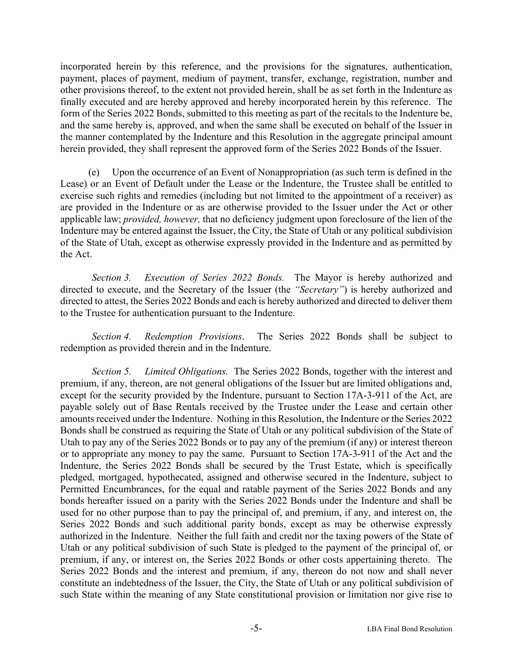incorporated herein by this reference, and the provisions for the signatures, authentication, payment, places of payment, medium of payment, transfer, exchange, registration, number and other provisions thereof, to the extent not provided herein, shall be as set forth in the Indenture as finally executed and are hereby approved and hereby incorporated herein by this reference. The form of the Series 2022 Bonds, submitted to this meeting as part of the recitals to the Indenture be, and the same hereby is, approved, and when the same shall be executed on behalf of the Issuer in the manner contemplated by the Indenture and this Resolution in the aggregate principal amount herein provided, they shall represent the approved form of the Series 2022 Bonds of the Issuer.

 (e) Upon the occurrence of an Event of Nonappropriation (as such term is defined in the Lease) or an Event of Default under the Lease or the Indenture, the Trustee shall be entitled to exercise such rights and remedies (including but not limited to the appointment of a receiver) as are provided in the Indenture or as are otherwise provided to the Issuer under the Act or other applicable law; *provided, however,* that no deficiency judgment upon foreclosure of the lien of the Indenture may be entered against the Issuer, the City, the State of Utah or any political subdivision of the State of Utah, except as otherwise expressly provided in the Indenture and as permitted by the Act.

*Section 3. Execution of Series 2022 Bonds.* The Mayor is hereby authorized and directed to execute, and the Secretary of the Issuer (the *"Secretary"*) is hereby authorized and directed to attest, the Series 2022 Bonds and each is hereby authorized and directed to deliver them to the Trustee for authentication pursuant to the Indenture.

*Section 4. Redemption Provisions*. The Series 2022 Bonds shall be subject to redemption as provided therein and in the Indenture.

*Section 5. Limited Obligations.* The Series 2022 Bonds, together with the interest and premium, if any, thereon, are not general obligations of the Issuer but are limited obligations and, except for the security provided by the Indenture, pursuant to Section 17A-3-911 of the Act, are payable solely out of Base Rentals received by the Trustee under the Lease and certain other amounts received under the Indenture. Nothing in this Resolution, the Indenture or the Series 2022 Bonds shall be construed as requiring the State of Utah or any political subdivision of the State of Utah to pay any of the Series 2022 Bonds or to pay any of the premium (if any) or interest thereon or to appropriate any money to pay the same. Pursuant to Section 17A-3-911 of the Act and the Indenture, the Series 2022 Bonds shall be secured by the Trust Estate, which is specifically pledged, mortgaged, hypothecated, assigned and otherwise secured in the Indenture, subject to Permitted Encumbrances, for the equal and ratable payment of the Series 2022 Bonds and any bonds hereafter issued on a parity with the Series 2022 Bonds under the Indenture and shall be used for no other purpose than to pay the principal of, and premium, if any, and interest on, the Series 2022 Bonds and such additional parity bonds, except as may be otherwise expressly authorized in the Indenture. Neither the full faith and credit nor the taxing powers of the State of Utah or any political subdivision of such State is pledged to the payment of the principal of, or premium, if any, or interest on, the Series 2022 Bonds or other costs appertaining thereto. The Series 2022 Bonds and the interest and premium, if any, thereon do not now and shall never constitute an indebtedness of the Issuer, the City, the State of Utah or any political subdivision of such State within the meaning of any State constitutional provision or limitation nor give rise to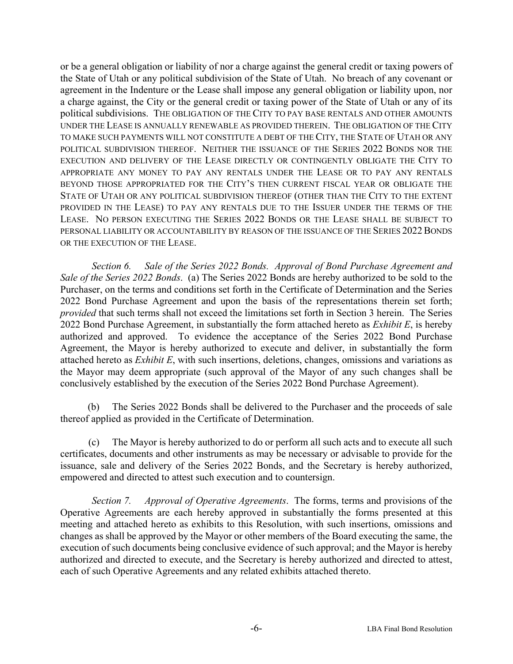or be a general obligation or liability of nor a charge against the general credit or taxing powers of the State of Utah or any political subdivision of the State of Utah. No breach of any covenant or agreement in the Indenture or the Lease shall impose any general obligation or liability upon, nor a charge against, the City or the general credit or taxing power of the State of Utah or any of its political subdivisions. THE OBLIGATION OF THE CITY TO PAY BASE RENTALS AND OTHER AMOUNTS UNDER THE LEASE IS ANNUALLY RENEWABLE AS PROVIDED THEREIN. THE OBLIGATION OF THE CITY TO MAKE SUCH PAYMENTS WILL NOT CONSTITUTE A DEBT OF THE CITY, THE STATE OF UTAH OR ANY POLITICAL SUBDIVISION THEREOF. NEITHER THE ISSUANCE OF THE SERIES 2022 BONDS NOR THE EXECUTION AND DELIVERY OF THE LEASE DIRECTLY OR CONTINGENTLY OBLIGATE THE CITY TO APPROPRIATE ANY MONEY TO PAY ANY RENTALS UNDER THE LEASE OR TO PAY ANY RENTALS BEYOND THOSE APPROPRIATED FOR THE CITY'S THEN CURRENT FISCAL YEAR OR OBLIGATE THE STATE OF UTAH OR ANY POLITICAL SUBDIVISION THEREOF (OTHER THAN THE CITY TO THE EXTENT PROVIDED IN THE LEASE) TO PAY ANY RENTALS DUE TO THE ISSUER UNDER THE TERMS OF THE LEASE. NO PERSON EXECUTING THE SERIES 2022 BONDS OR THE LEASE SHALL BE SUBJECT TO PERSONAL LIABILITY OR ACCOUNTABILITY BY REASON OF THE ISSUANCE OF THE SERIES 2022 BONDS OR THE EXECUTION OF THE LEASE.

*Section 6. Sale of the Series 2022 Bonds. Approval of Bond Purchase Agreement and Sale of the Series 2022 Bonds*. (a) The Series 2022 Bonds are hereby authorized to be sold to the Purchaser, on the terms and conditions set forth in the Certificate of Determination and the Series 2022 Bond Purchase Agreement and upon the basis of the representations therein set forth; *provided* that such terms shall not exceed the limitations set forth in Section 3 herein. The Series 2022 Bond Purchase Agreement, in substantially the form attached hereto as *Exhibit E*, is hereby authorized and approved. To evidence the acceptance of the Series 2022 Bond Purchase Agreement, the Mayor is hereby authorized to execute and deliver, in substantially the form attached hereto as *Exhibit E*, with such insertions, deletions, changes, omissions and variations as the Mayor may deem appropriate (such approval of the Mayor of any such changes shall be conclusively established by the execution of the Series 2022 Bond Purchase Agreement).

 (b) The Series 2022 Bonds shall be delivered to the Purchaser and the proceeds of sale thereof applied as provided in the Certificate of Determination.

 (c) The Mayor is hereby authorized to do or perform all such acts and to execute all such certificates, documents and other instruments as may be necessary or advisable to provide for the issuance, sale and delivery of the Series 2022 Bonds, and the Secretary is hereby authorized, empowered and directed to attest such execution and to countersign.

*Section 7. Approval of Operative Agreements*. The forms, terms and provisions of the Operative Agreements are each hereby approved in substantially the forms presented at this meeting and attached hereto as exhibits to this Resolution, with such insertions, omissions and changes as shall be approved by the Mayor or other members of the Board executing the same, the execution of such documents being conclusive evidence of such approval; and the Mayor is hereby authorized and directed to execute, and the Secretary is hereby authorized and directed to attest, each of such Operative Agreements and any related exhibits attached thereto.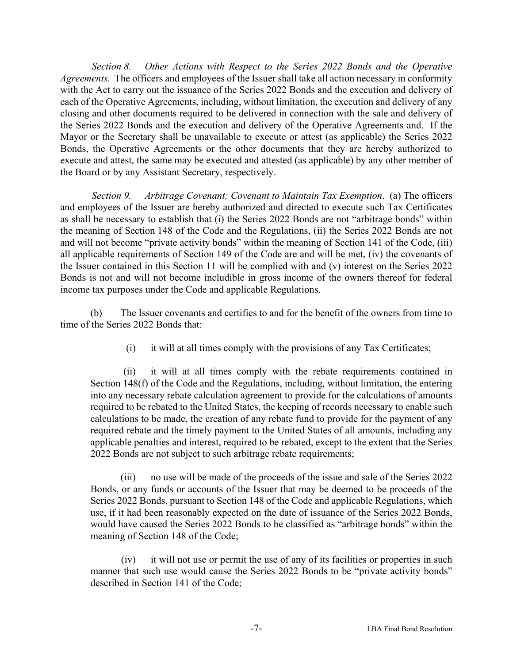*Section 8. Other Actions with Respect to the Series 2022 Bonds and the Operative Agreements.* The officers and employees of the Issuer shall take all action necessary in conformity with the Act to carry out the issuance of the Series 2022 Bonds and the execution and delivery of each of the Operative Agreements, including, without limitation, the execution and delivery of any closing and other documents required to be delivered in connection with the sale and delivery of the Series 2022 Bonds and the execution and delivery of the Operative Agreements and. If the Mayor or the Secretary shall be unavailable to execute or attest (as applicable) the Series 2022 Bonds, the Operative Agreements or the other documents that they are hereby authorized to execute and attest, the same may be executed and attested (as applicable) by any other member of the Board or by any Assistant Secretary, respectively.

*Section 9. Arbitrage Covenant; Covenant to Maintain Tax Exemption*. (a) The officers and employees of the Issuer are hereby authorized and directed to execute such Tax Certificates as shall be necessary to establish that (i) the Series 2022 Bonds are not "arbitrage bonds" within the meaning of Section 148 of the Code and the Regulations, (ii) the Series 2022 Bonds are not and will not become "private activity bonds" within the meaning of Section 141 of the Code, (iii) all applicable requirements of Section 149 of the Code are and will be met, (iv) the covenants of the Issuer contained in this Section 11 will be complied with and (v) interest on the Series 2022 Bonds is not and will not become includible in gross income of the owners thereof for federal income tax purposes under the Code and applicable Regulations.

(b) The Issuer covenants and certifies to and for the benefit of the owners from time to time of the Series 2022 Bonds that:

(i) it will at all times comply with the provisions of any Tax Certificates;

 (ii) it will at all times comply with the rebate requirements contained in Section 148(f) of the Code and the Regulations, including, without limitation, the entering into any necessary rebate calculation agreement to provide for the calculations of amounts required to be rebated to the United States, the keeping of records necessary to enable such calculations to be made, the creation of any rebate fund to provide for the payment of any required rebate and the timely payment to the United States of all amounts, including any applicable penalties and interest, required to be rebated, except to the extent that the Series 2022 Bonds are not subject to such arbitrage rebate requirements;

 (iii) no use will be made of the proceeds of the issue and sale of the Series 2022 Bonds, or any funds or accounts of the Issuer that may be deemed to be proceeds of the Series 2022 Bonds, pursuant to Section 148 of the Code and applicable Regulations, which use, if it had been reasonably expected on the date of issuance of the Series 2022 Bonds, would have caused the Series 2022 Bonds to be classified as "arbitrage bonds" within the meaning of Section 148 of the Code;

 (iv) it will not use or permit the use of any of its facilities or properties in such manner that such use would cause the Series 2022 Bonds to be "private activity bonds" described in Section 141 of the Code;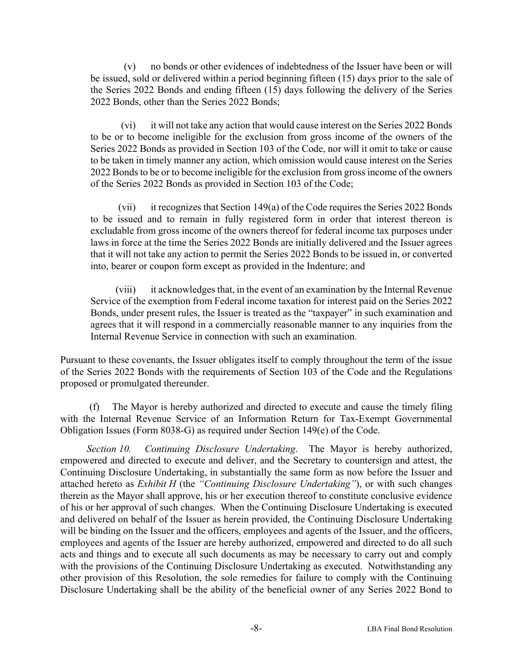(v) no bonds or other evidences of indebtedness of the Issuer have been or will be issued, sold or delivered within a period beginning fifteen (15) days prior to the sale of the Series 2022 Bonds and ending fifteen (15) days following the delivery of the Series 2022 Bonds, other than the Series 2022 Bonds;

 (vi) it will not take any action that would cause interest on the Series 2022 Bonds to be or to become ineligible for the exclusion from gross income of the owners of the Series 2022 Bonds as provided in Section 103 of the Code, nor will it omit to take or cause to be taken in timely manner any action, which omission would cause interest on the Series 2022 Bonds to be or to become ineligible for the exclusion from gross income of the owners of the Series 2022 Bonds as provided in Section 103 of the Code;

 (vii) it recognizes that Section 149(a) of the Code requires the Series 2022 Bonds to be issued and to remain in fully registered form in order that interest thereon is excludable from gross income of the owners thereof for federal income tax purposes under laws in force at the time the Series 2022 Bonds are initially delivered and the Issuer agrees that it will not take any action to permit the Series 2022 Bonds to be issued in, or converted into, bearer or coupon form except as provided in the Indenture; and

 (viii) it acknowledges that, in the event of an examination by the Internal Revenue Service of the exemption from Federal income taxation for interest paid on the Series 2022 Bonds, under present rules, the Issuer is treated as the "taxpayer" in such examination and agrees that it will respond in a commercially reasonable manner to any inquiries from the Internal Revenue Service in connection with such an examination.

Pursuant to these covenants, the Issuer obligates itself to comply throughout the term of the issue of the Series 2022 Bonds with the requirements of Section 103 of the Code and the Regulations proposed or promulgated thereunder.

 (f) The Mayor is hereby authorized and directed to execute and cause the timely filing with the Internal Revenue Service of an Information Return for Tax-Exempt Governmental Obligation Issues (Form 8038-G) as required under Section 149(e) of the Code.

*Section 10. Continuing Disclosure Undertaking*. The Mayor is hereby authorized, empowered and directed to execute and deliver, and the Secretary to countersign and attest, the Continuing Disclosure Undertaking, in substantially the same form as now before the Issuer and attached hereto as *Exhibit H* (the *"Continuing Disclosure Undertaking"*), or with such changes therein as the Mayor shall approve, his or her execution thereof to constitute conclusive evidence of his or her approval of such changes. When the Continuing Disclosure Undertaking is executed and delivered on behalf of the Issuer as herein provided, the Continuing Disclosure Undertaking will be binding on the Issuer and the officers, employees and agents of the Issuer, and the officers, employees and agents of the Issuer are hereby authorized, empowered and directed to do all such acts and things and to execute all such documents as may be necessary to carry out and comply with the provisions of the Continuing Disclosure Undertaking as executed. Notwithstanding any other provision of this Resolution, the sole remedies for failure to comply with the Continuing Disclosure Undertaking shall be the ability of the beneficial owner of any Series 2022 Bond to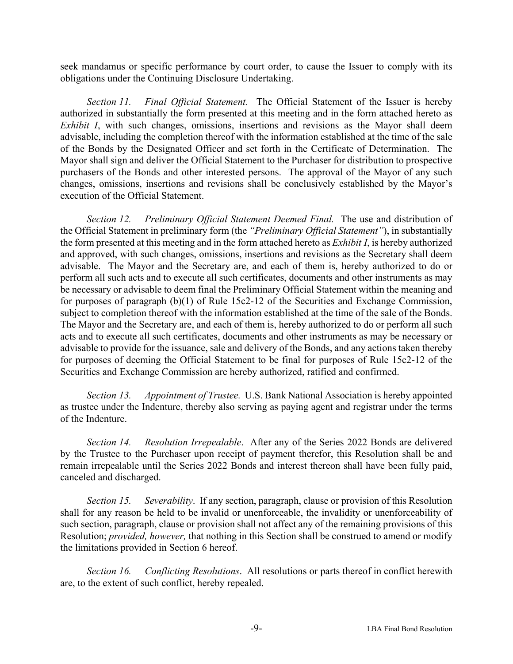seek mandamus or specific performance by court order, to cause the Issuer to comply with its obligations under the Continuing Disclosure Undertaking.

 *Section 11. Final Official Statement.* The Official Statement of the Issuer is hereby authorized in substantially the form presented at this meeting and in the form attached hereto as *Exhibit I*, with such changes, omissions, insertions and revisions as the Mayor shall deem advisable, including the completion thereof with the information established at the time of the sale of the Bonds by the Designated Officer and set forth in the Certificate of Determination. The Mayor shall sign and deliver the Official Statement to the Purchaser for distribution to prospective purchasers of the Bonds and other interested persons. The approval of the Mayor of any such changes, omissions, insertions and revisions shall be conclusively established by the Mayor's execution of the Official Statement.

 *Section 12. Preliminary Official Statement Deemed Final.* The use and distribution of the Official Statement in preliminary form (the *"Preliminary Official Statement"*), in substantially the form presented at this meeting and in the form attached hereto as *Exhibit I*, is hereby authorized and approved, with such changes, omissions, insertions and revisions as the Secretary shall deem advisable. The Mayor and the Secretary are, and each of them is, hereby authorized to do or perform all such acts and to execute all such certificates, documents and other instruments as may be necessary or advisable to deem final the Preliminary Official Statement within the meaning and for purposes of paragraph (b)(1) of Rule 15c2-12 of the Securities and Exchange Commission, subject to completion thereof with the information established at the time of the sale of the Bonds. The Mayor and the Secretary are, and each of them is, hereby authorized to do or perform all such acts and to execute all such certificates, documents and other instruments as may be necessary or advisable to provide for the issuance, sale and delivery of the Bonds, and any actions taken thereby for purposes of deeming the Official Statement to be final for purposes of Rule 15c2-12 of the Securities and Exchange Commission are hereby authorized, ratified and confirmed.

*Section 13. Appointment of Trustee.* U.S. Bank National Association is hereby appointed as trustee under the Indenture, thereby also serving as paying agent and registrar under the terms of the Indenture.

*Section 14. Resolution Irrepealable*. After any of the Series 2022 Bonds are delivered by the Trustee to the Purchaser upon receipt of payment therefor, this Resolution shall be and remain irrepealable until the Series 2022 Bonds and interest thereon shall have been fully paid, canceled and discharged.

*Section 15. Severability*. If any section, paragraph, clause or provision of this Resolution shall for any reason be held to be invalid or unenforceable, the invalidity or unenforceability of such section, paragraph, clause or provision shall not affect any of the remaining provisions of this Resolution; *provided, however,* that nothing in this Section shall be construed to amend or modify the limitations provided in Section 6 hereof.

 *Section 16. Conflicting Resolutions*. All resolutions or parts thereof in conflict herewith are, to the extent of such conflict, hereby repealed.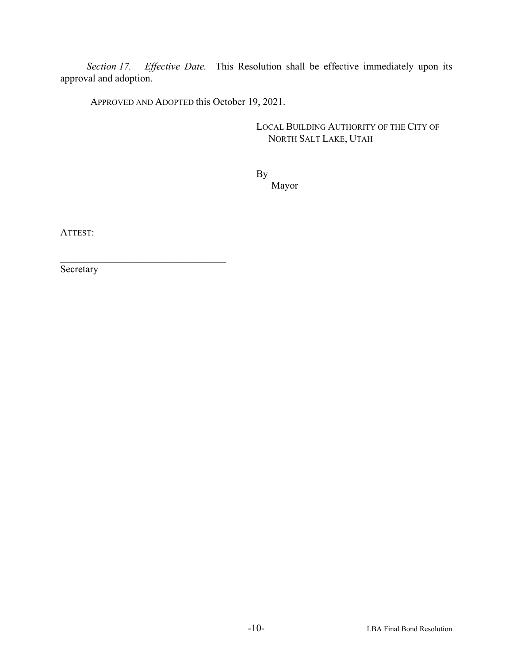*Section 17. Effective Date.* This Resolution shall be effective immediately upon its approval and adoption.

APPROVED AND ADOPTED this October 19, 2021.

LOCAL BUILDING AUTHORITY OF THE CITY OF NORTH SALT LAKE, UTAH

 $\mathbf{By}$ 

Mayor

ATTEST:

**Secretary**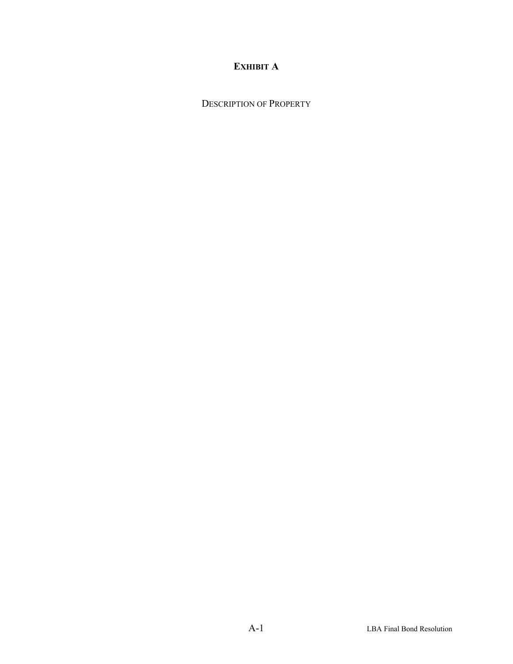## **EXHIBIT A**

DESCRIPTION OF PROPERTY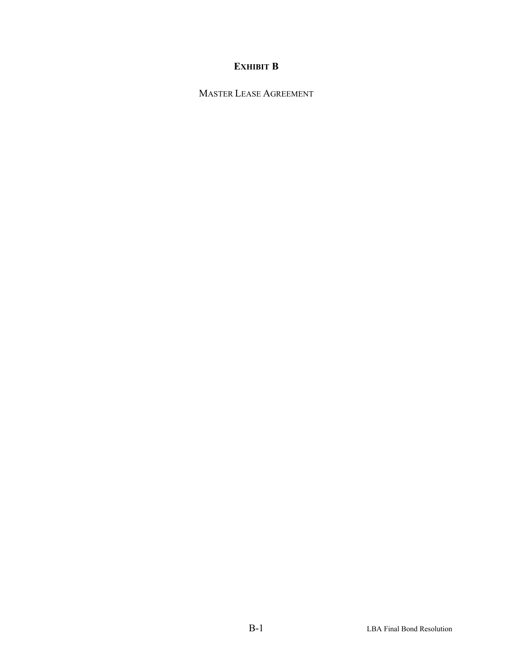## **EXHIBIT B**

MASTER LEASE AGREEMENT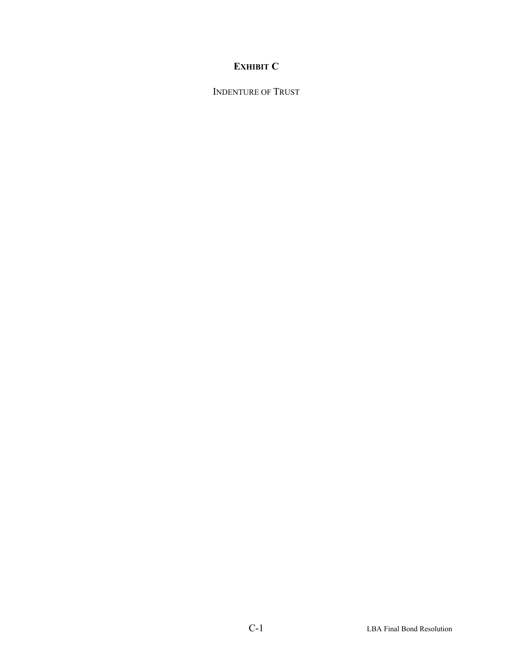## **EXHIBIT C**

INDENTURE OF TRUST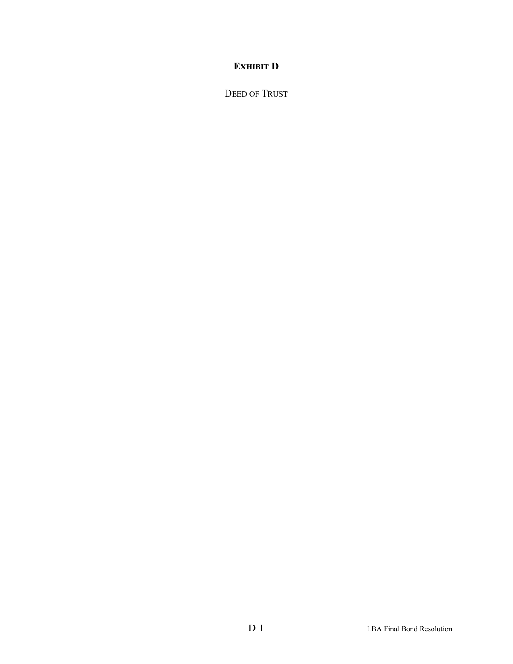## **EXHIBIT D**

DEED OF TRUST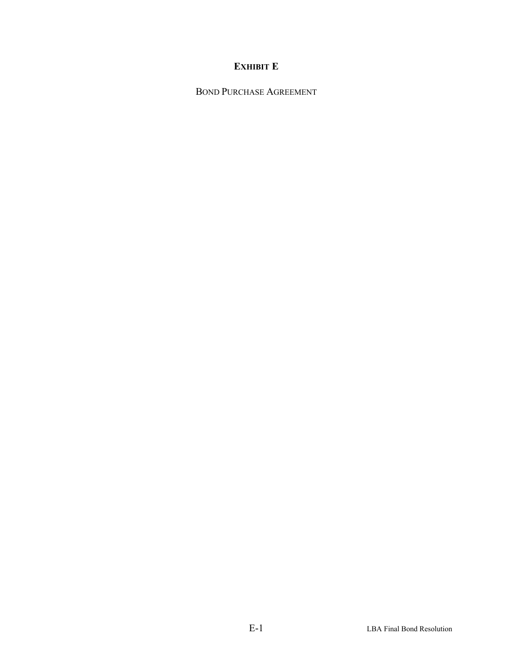## **EXHIBIT E**

BOND PURCHASE AGREEMENT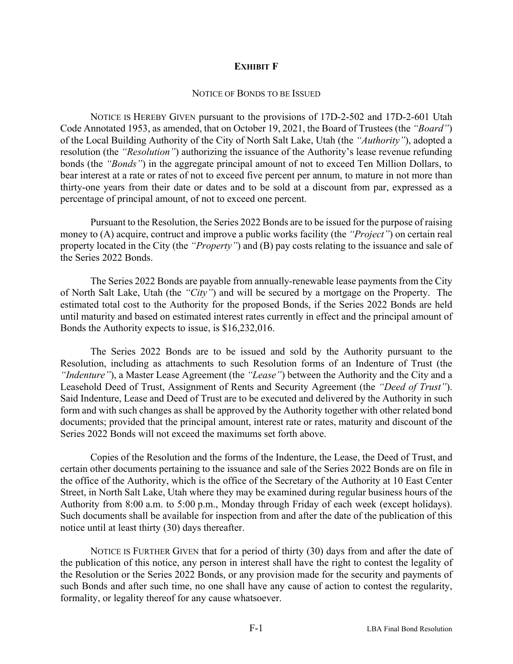#### **EXHIBIT F**

#### NOTICE OF BONDS TO BE ISSUED

NOTICE IS HEREBY GIVEN pursuant to the provisions of 17D-2-502 and 17D-2-601 Utah Code Annotated 1953, as amended, that on October 19, 2021, the Board of Trustees (the *"Board"*) of the Local Building Authority of the City of North Salt Lake, Utah (the *"Authority"*), adopted a resolution (the *"Resolution"*) authorizing the issuance of the Authority's lease revenue refunding bonds (the *"Bonds"*) in the aggregate principal amount of not to exceed Ten Million Dollars, to bear interest at a rate or rates of not to exceed five percent per annum, to mature in not more than thirty-one years from their date or dates and to be sold at a discount from par, expressed as a percentage of principal amount, of not to exceed one percent.

Pursuant to the Resolution, the Series 2022 Bonds are to be issued for the purpose of raising money to (A) acquire, contruct and improve a public works facility (the *"Project"*) on certain real property located in the City (the *"Property"*) and (B) pay costs relating to the issuance and sale of the Series 2022 Bonds.

The Series 2022 Bonds are payable from annually-renewable lease payments from the City of North Salt Lake, Utah (the *"City"*) and will be secured by a mortgage on the Property. The estimated total cost to the Authority for the proposed Bonds, if the Series 2022 Bonds are held until maturity and based on estimated interest rates currently in effect and the principal amount of Bonds the Authority expects to issue, is \$16,232,016.

The Series 2022 Bonds are to be issued and sold by the Authority pursuant to the Resolution, including as attachments to such Resolution forms of an Indenture of Trust (the *"Indenture"*), a Master Lease Agreement (the *"Lease"*) between the Authority and the City and a Leasehold Deed of Trust, Assignment of Rents and Security Agreement (the *"Deed of Trust"*). Said Indenture, Lease and Deed of Trust are to be executed and delivered by the Authority in such form and with such changes as shall be approved by the Authority together with other related bond documents; provided that the principal amount, interest rate or rates, maturity and discount of the Series 2022 Bonds will not exceed the maximums set forth above.

Copies of the Resolution and the forms of the Indenture, the Lease, the Deed of Trust, and certain other documents pertaining to the issuance and sale of the Series 2022 Bonds are on file in the office of the Authority, which is the office of the Secretary of the Authority at 10 East Center Street, in North Salt Lake, Utah where they may be examined during regular business hours of the Authority from 8:00 a.m. to 5:00 p.m., Monday through Friday of each week (except holidays). Such documents shall be available for inspection from and after the date of the publication of this notice until at least thirty (30) days thereafter.

NOTICE IS FURTHER GIVEN that for a period of thirty (30) days from and after the date of the publication of this notice, any person in interest shall have the right to contest the legality of the Resolution or the Series 2022 Bonds, or any provision made for the security and payments of such Bonds and after such time, no one shall have any cause of action to contest the regularity, formality, or legality thereof for any cause whatsoever.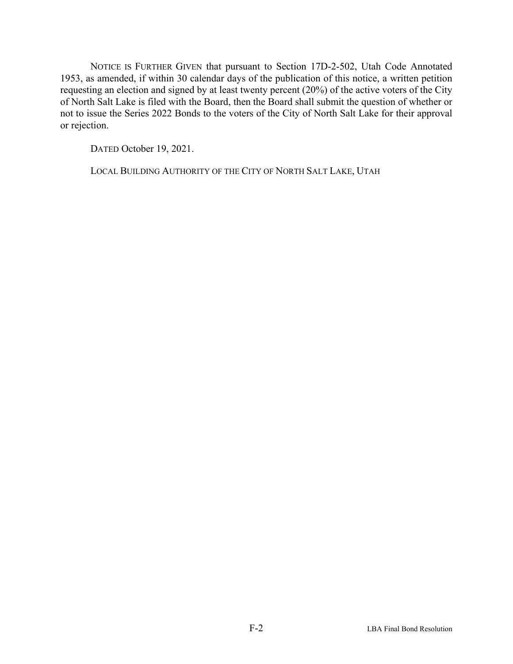NOTICE IS FURTHER GIVEN that pursuant to Section 17D-2-502, Utah Code Annotated 1953, as amended, if within 30 calendar days of the publication of this notice, a written petition requesting an election and signed by at least twenty percent (20%) of the active voters of the City of North Salt Lake is filed with the Board, then the Board shall submit the question of whether or not to issue the Series 2022 Bonds to the voters of the City of North Salt Lake for their approval or rejection.

DATED October 19, 2021.

LOCAL BUILDING AUTHORITY OF THE CITY OF NORTH SALT LAKE, UTAH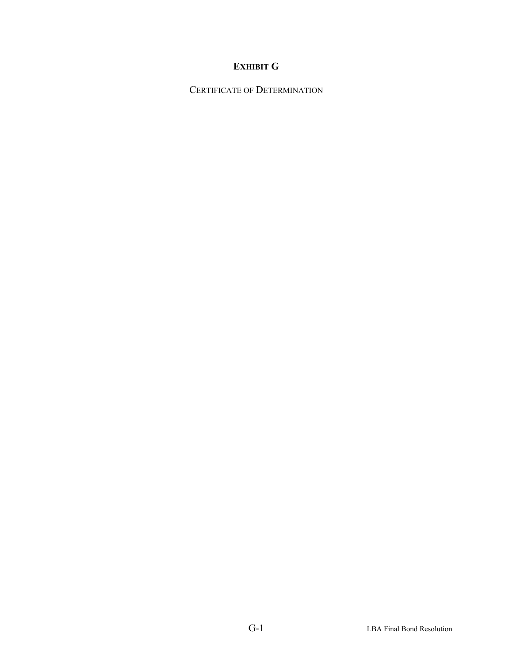## **EXHIBIT G**

CERTIFICATE OF DETERMINATION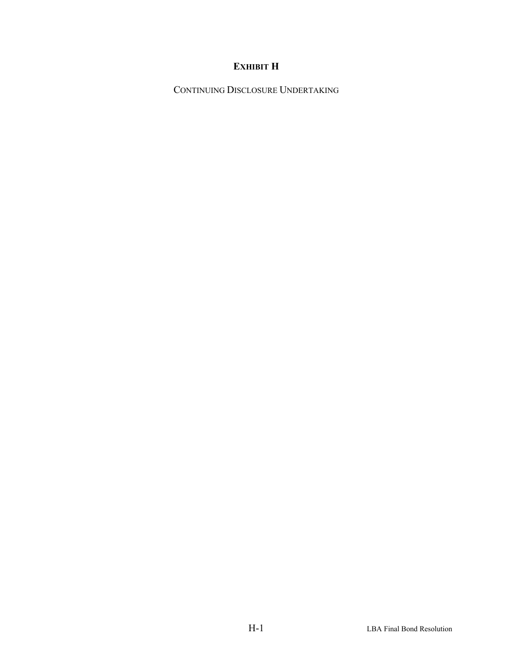## **EXHIBIT H**

CONTINUING DISCLOSURE UNDERTAKING